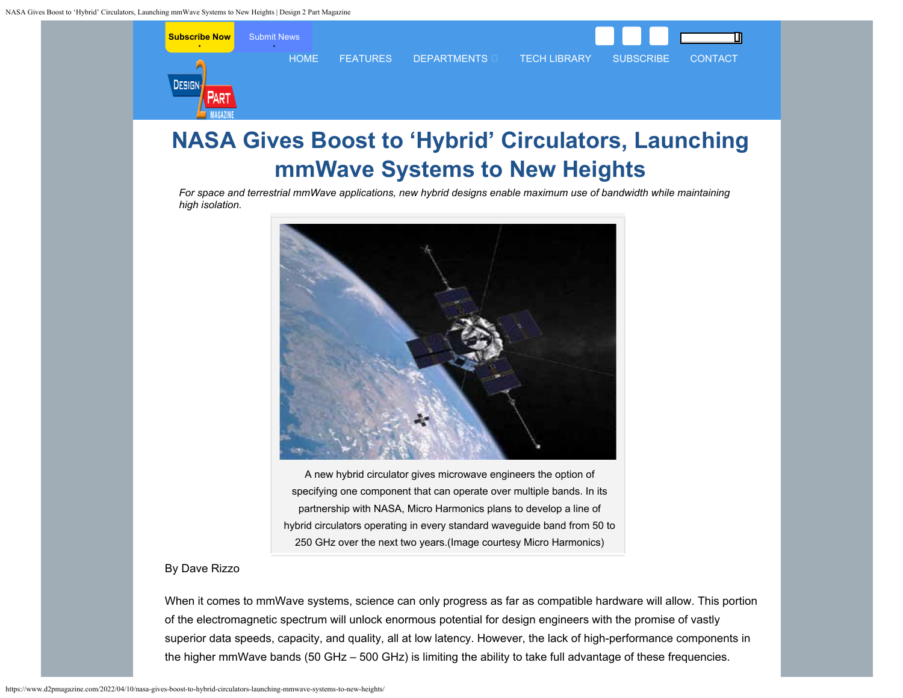<span id="page-0-0"></span>

# **NASA Gives Boost to 'Hybrid' Circulators, Launching mmWave Systems to New Heights**

*For space and terrestrial mmWave applications, new hybrid designs enable maximum use of bandwidth while maintaining high isolation.*



A new hybrid circulator gives microwave engineers the option of specifying one component that can operate over multiple bands. In its partnership with NASA, Micro Harmonics plans to develop a line of hybrid circulators operating in every standard waveguide band from 50 to 250 GHz over the next two years.(Image courtesy Micro Harmonics)

## By Dave Rizzo

When it comes to mmWave systems, science can only progress as far as compatible hardware will allow. This portion of the electromagnetic spectrum will unlock enormous potential for design engineers with the promise of vastly superior data speeds, capacity, and quality, all at low latency. However, the lack of high-performance components in the higher mmWave bands (50 GHz – 500 GHz) is limiting the ability to take full advantage of these frequencies.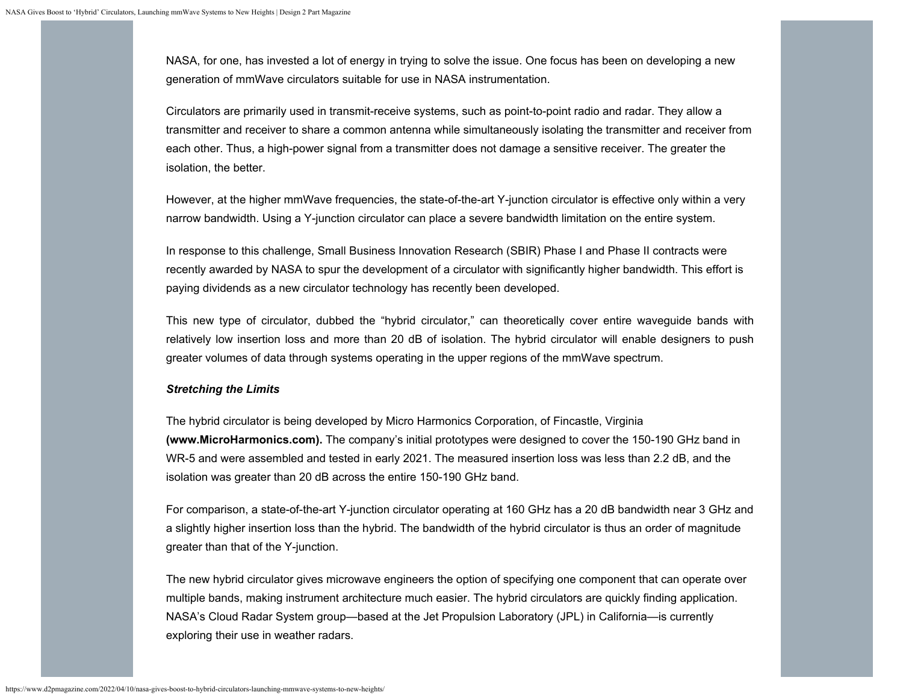NASA, for one, has invested a lot of energy in trying to solve the issue. One focus has been on developing a new generation of mmWave circulators suitable for use in NASA instrumentation.

Circulators are primarily used in transmit-receive systems, such as point-to-point radio and radar. They allow a transmitter and receiver to share a common antenna while simultaneously isolating the transmitter and receiver from each other. Thus, a high-power signal from a transmitter does not damage a sensitive receiver. The greater the isolation, the better.

However, at the higher mmWave frequencies, the state-of-the-art Y-junction circulator is effective only within a very narrow bandwidth. Using a Y-junction circulator can place a severe bandwidth limitation on the entire system.

In response to this challenge, Small Business Innovation Research (SBIR) Phase I and Phase II contracts were recently awarded by NASA to spur the development of a circulator with significantly higher bandwidth. This effort is paying dividends as a new circulator technology has recently been developed.

This new type of circulator, dubbed the "hybrid circulator," can theoretically cover entire waveguide bands with relatively low insertion loss and more than 20 dB of isolation. The hybrid circulator will enable designers to push greater volumes of data through systems operating in the upper regions of the mmWave spectrum.

#### *Stretching the Limits*

The hybrid circulator is being developed by Micro Harmonics Corporation, of Fincastle, Virginia **[\(www.MicroHarmonics.com\)](http://www.microharmonics.com/).** The company's initial prototypes were designed to cover the 150-190 GHz band in WR-5 and were assembled and tested in early 2021. The measured insertion loss was less than 2.2 dB, and the isolation was greater than 20 dB across the entire 150-190 GHz band.

For comparison, a state-of-the-art Y-junction circulator operating at 160 GHz has a 20 dB bandwidth near 3 GHz and a slightly higher insertion loss than the hybrid. The bandwidth of the hybrid circulator is thus an order of magnitude greater than that of the Y-junction.

The new hybrid circulator gives microwave engineers the option of specifying one component that can operate over multiple bands, making instrument architecture much easier. The hybrid circulators are quickly finding application. NASA's Cloud Radar System group—based at the Jet Propulsion Laboratory (JPL) in California—is currently exploring their use in weather radars.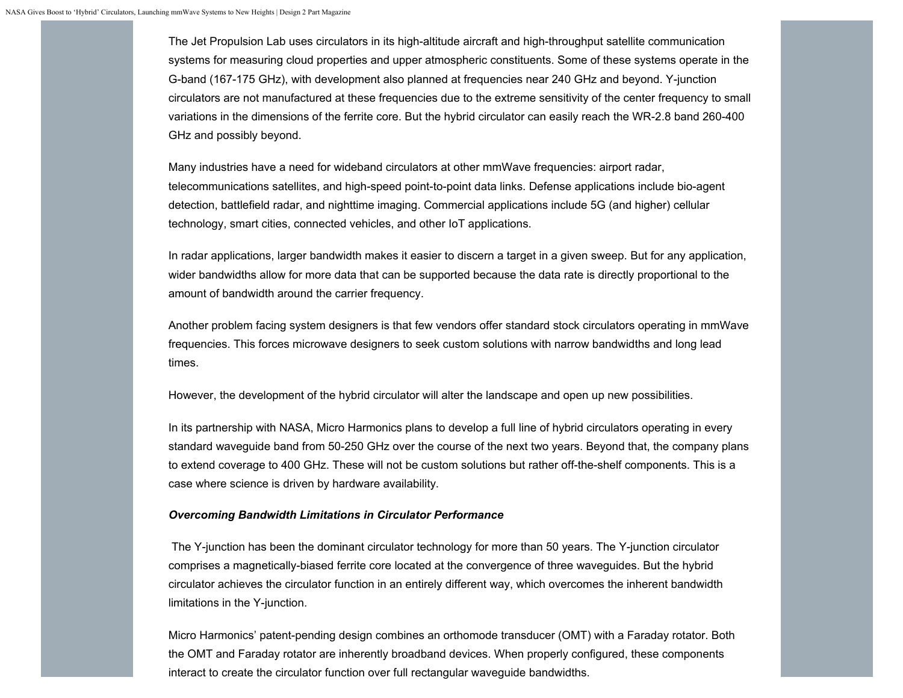The Jet Propulsion Lab uses circulators in its high-altitude aircraft and high-throughput satellite communication systems for measuring cloud properties and upper atmospheric constituents. Some of these systems operate in the G-band (167-175 GHz), with development also planned at frequencies near 240 GHz and beyond. Y-junction circulators are not manufactured at these frequencies due to the extreme sensitivity of the center frequency to small variations in the dimensions of the ferrite core. But the hybrid circulator can easily reach the WR-2.8 band 260-400 GHz and possibly beyond.

Many industries have a need for wideband circulators at other mmWave frequencies: airport radar, telecommunications satellites, and high-speed point-to-point data links. Defense applications include bio-agent detection, battlefield radar, and nighttime imaging. Commercial applications include 5G (and higher) cellular technology, smart cities, connected vehicles, and other IoT applications.

In radar applications, larger bandwidth makes it easier to discern a target in a given sweep. But for any application, wider bandwidths allow for more data that can be supported because the data rate is directly proportional to the amount of bandwidth around the carrier frequency.

Another problem facing system designers is that few vendors offer standard stock circulators operating in mmWave frequencies. This forces microwave designers to seek custom solutions with narrow bandwidths and long lead times.

However, the development of the hybrid circulator will alter the landscape and open up new possibilities.

In its partnership with NASA, Micro Harmonics plans to develop a full line of hybrid circulators operating in every standard waveguide band from 50-250 GHz over the course of the next two years. Beyond that, the company plans to extend coverage to 400 GHz. These will not be custom solutions but rather off-the-shelf components. This is a case where science is driven by hardware availability.

#### *Overcoming Bandwidth Limitations in Circulator Performance*

The Y-junction has been the dominant circulator technology for more than 50 years. The Y-junction circulator comprises a magnetically-biased ferrite core located at the convergence of three waveguides. But the hybrid circulator achieves the circulator function in an entirely different way, which overcomes the inherent bandwidth limitations in the Y-junction.

Micro Harmonics' patent-pending design combines an orthomode transducer (OMT) with a Faraday rotator. Both the OMT and Faraday rotator are inherently broadband devices. When properly configured, these components interact to create the circulator function over full rectangular waveguide bandwidths.